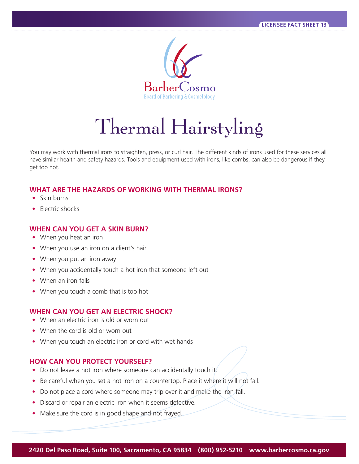

# Thermal Hairstyling

You may work with thermal irons to straighten, press, or curl hair. The different kinds of irons used for these services all have similar health and safety hazards. Tools and equipment used with irons, like combs, can also be dangerous if they get too hot.

# **WHAT ARE THE HAZARDS OF WORKING WITH THERMAL IRONS?**

- Skin burns
- Electric shocks

## **WHEN CAN YOU GET A SKIN BURN?**

- When you heat an iron
- When you use an iron on a client's hair
- When you put an iron away
- When you accidentally touch a hot iron that someone left out
- When an iron falls
- When you touch a comb that is too hot

### **WHEN CAN YOU GET AN ELECTRIC SHOCK?**

- When an electric iron is old or worn out
- When the cord is old or worn out
- When you touch an electric iron or cord with wet hands

### **HOW CAN YOU PROTECT YOURSELF?**

- Do not leave a hot iron where someone can accidentally touch it.
- Be careful when you set a hot iron on a countertop. Place it where it will not fall.
- Do not place a cord where someone may trip over it and make the iron fall.
- Discard or repair an electric iron when it seems defective.
- Make sure the cord is in good shape and not frayed.